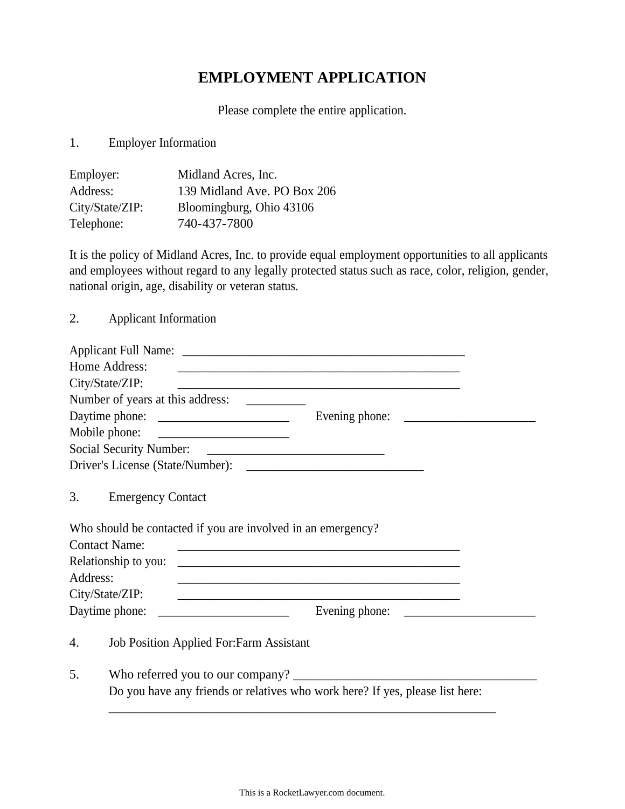## **EMPLOYMENT APPLICATION**

Please complete the entire application.

1. Employer Information

| Employer:       | Midland Acres, Inc.         |
|-----------------|-----------------------------|
| Address:        | 139 Midland Ave. PO Box 206 |
| City/State/ZIP: | Bloomingburg, Ohio 43106    |
| Telephone:      | 740-437-7800                |

It is the policy of Midland Acres, Inc. to provide equal employment opportunities to all applicants and employees without regard to any legally protected status such as race, color, religion, gender, national origin, age, disability or veteran status.

2. Applicant Information

|          | Home Address:                                   | <u> 1989 - Johann John Stoff, deutscher Stoffen und der Stoffen und der Stoffen und der Stoffen und der Stoffen u</u> |  |
|----------|-------------------------------------------------|-----------------------------------------------------------------------------------------------------------------------|--|
|          | City/State/ZIP:                                 | <u> 1989 - Johann John Stone, markin biskup yn y steatr y brening yn y brening yn y brening yn y brening yn y br</u>  |  |
|          |                                                 |                                                                                                                       |  |
|          |                                                 |                                                                                                                       |  |
|          | Mobile phone:                                   |                                                                                                                       |  |
|          |                                                 |                                                                                                                       |  |
|          |                                                 |                                                                                                                       |  |
| 3.       | <b>Emergency Contact</b>                        |                                                                                                                       |  |
|          |                                                 | Who should be contacted if you are involved in an emergency?                                                          |  |
|          | <b>Contact Name:</b>                            |                                                                                                                       |  |
|          | Relationship to you:                            | <u> 1989 - Johann Stein, mars an deutscher Stein und der Stein und der Stein und der Stein und der Stein und der</u>  |  |
| Address: |                                                 | <u> 1989 - Johann Stoff, amerikansk politiker (d. 1989)</u>                                                           |  |
|          | City/State/ZIP:                                 | <u> 1989 - Johann Harry Harry Harry Harry Harry Harry Harry Harry Harry Harry Harry Harry Harry Harry Harry Harry</u> |  |
|          | Daytime phone:                                  |                                                                                                                       |  |
| 4.       | <b>Job Position Applied For: Farm Assistant</b> |                                                                                                                       |  |
| 5.       |                                                 |                                                                                                                       |  |
|          |                                                 | Do you have any friends or relatives who work here? If yes, please list here:                                         |  |
|          |                                                 |                                                                                                                       |  |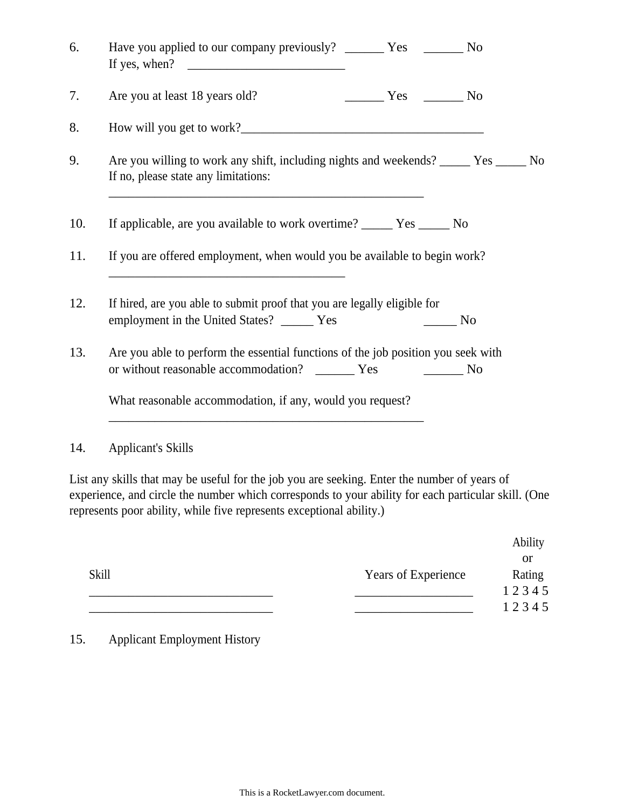| Have you applied to our company previously? ________ Yes ________ No                                                                  |
|---------------------------------------------------------------------------------------------------------------------------------------|
| Are you at least 18 years old?<br>$\frac{1}{1}$ Yes $\frac{1}{1}$ No                                                                  |
|                                                                                                                                       |
| Are you willing to work any shift, including nights and weekends? ______ Yes _____ No<br>If no, please state any limitations:         |
| If applicable, are you available to work overtime? _________ Yes ________ No                                                          |
| If you are offered employment, when would you be available to begin work?                                                             |
| If hired, are you able to submit proof that you are legally eligible for<br>employment in the United States? _______ Yes<br>$\sim$ No |
| Are you able to perform the essential functions of the job position you seek with                                                     |
| What reasonable accommodation, if any, would you request?                                                                             |
| <b>Applicant's Skills</b>                                                                                                             |

List any skills that may be useful for the job you are seeking. Enter the number of years of experience, and circle the number which corresponds to your ability for each particular skill. (One represents poor ability, while five represents exceptional ability.)

|              |                     | Ability   |
|--------------|---------------------|-----------|
|              |                     | <b>or</b> |
| <b>Skill</b> | Years of Experience | Rating    |
|              |                     | 12345     |
|              |                     | 12345     |

15. Applicant Employment History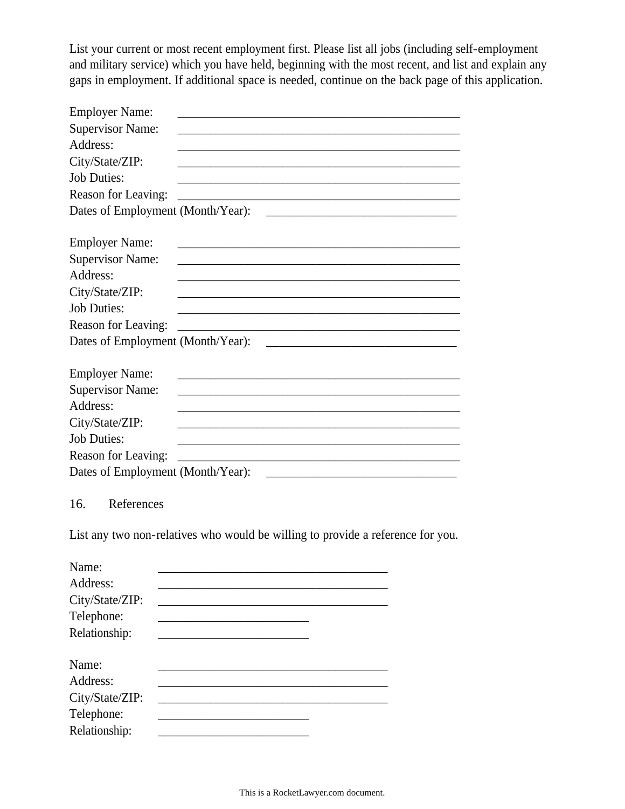List your current or most recent employment first. Please list all jobs (including self-employment and military service) which you have held, beginning with the most recent, and list and explain any gaps in employment. If additional space is needed, continue on the back page of this application.

| <b>Employer Name:</b><br><u> 1989 - Johann John Stein, markin fan it ferstjer fan de ferstjer fan it ferstjer fan it ferstjer fan it fers</u>   |
|-------------------------------------------------------------------------------------------------------------------------------------------------|
| <b>Supervisor Name:</b>                                                                                                                         |
| Address:                                                                                                                                        |
| City/State/ZIP:                                                                                                                                 |
| <b>Job Duties:</b>                                                                                                                              |
| Reason for Leaving:<br><u> 1989 - Johann John Stone, markin film yn y brenin y brenin y brenin y brenin y brenin y brenin y brenin y br</u>     |
| Dates of Employment (Month/Year):                                                                                                               |
|                                                                                                                                                 |
| <b>Employer Name:</b><br>the control of the control of the control of the control of the control of the control of                              |
| <b>Supervisor Name:</b>                                                                                                                         |
| Address:                                                                                                                                        |
| City/State/ZIP:                                                                                                                                 |
| <b>Job Duties:</b><br><u> 1980 - Johann Barn, mars ann an t-Amhain ann an t-Amhain an t-Amhain an t-Amhain an t-Amhain an t-Amhain an t-</u>    |
| Reason for Leaving:<br><u> 1989 - Johann John Stein, mars an deutscher Stein und der Stein und der Stein und der Stein und der Stein und</u>    |
| Dates of Employment (Month/Year):                                                                                                               |
|                                                                                                                                                 |
| <b>Employer Name:</b><br><u> 1940 - Johann John Stone, mars et al. 1940 - John Stone, mars et al. 1940 - John Stone, mars et al. 1940 - Joh</u> |
| <b>Supervisor Name:</b>                                                                                                                         |
| Address:                                                                                                                                        |
| City/State/ZIP:                                                                                                                                 |
| <b>Job Duties:</b><br><u> 1980 - Johann John Stone, markin fan de ferske fan de ferske fan de ferske fan de ferske fan de ferske fan d</u>      |
| Reason for Leaving:                                                                                                                             |
|                                                                                                                                                 |
|                                                                                                                                                 |
| References<br>16.                                                                                                                               |
|                                                                                                                                                 |
| List any two non-relatives who would be willing to provide a reference for you.                                                                 |
|                                                                                                                                                 |
| Name:                                                                                                                                           |
| Address:                                                                                                                                        |
| City/State/ZIP:                                                                                                                                 |
| Telephone:                                                                                                                                      |
| Relationship:                                                                                                                                   |
|                                                                                                                                                 |
| Name:                                                                                                                                           |
| Address:                                                                                                                                        |
| City/State/ZIP:                                                                                                                                 |
| Telephone:                                                                                                                                      |
| Relationship:                                                                                                                                   |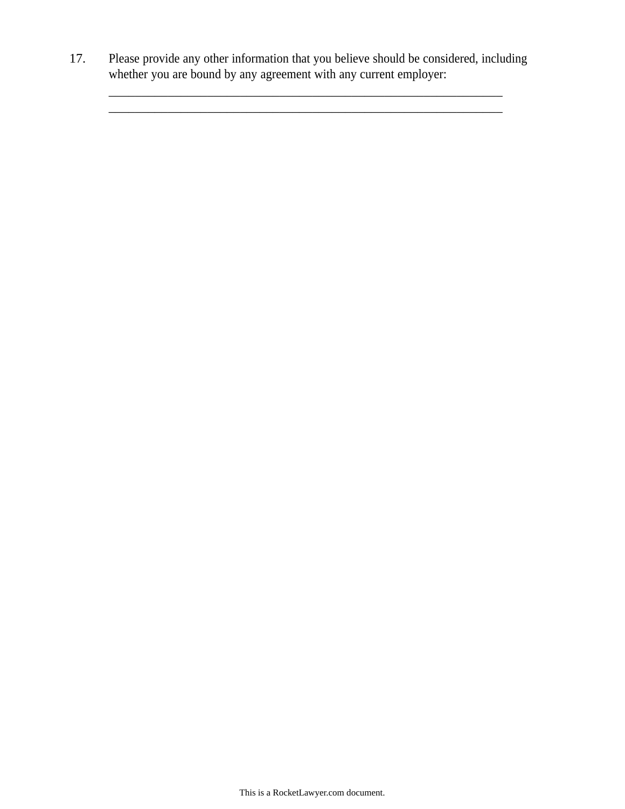17. Please provide any other information that you believe should be considered, including whether you are bound by any agreement with any current employer:

\_\_\_\_\_\_\_\_\_\_\_\_\_\_\_\_\_\_\_\_\_\_\_\_\_\_\_\_\_\_\_\_\_\_\_\_\_\_\_\_\_\_\_\_\_\_\_\_\_\_\_\_\_\_\_\_\_\_\_\_

 $\frac{1}{2}$  ,  $\frac{1}{2}$  ,  $\frac{1}{2}$  ,  $\frac{1}{2}$  ,  $\frac{1}{2}$  ,  $\frac{1}{2}$  ,  $\frac{1}{2}$  ,  $\frac{1}{2}$  ,  $\frac{1}{2}$  ,  $\frac{1}{2}$  ,  $\frac{1}{2}$  ,  $\frac{1}{2}$  ,  $\frac{1}{2}$  ,  $\frac{1}{2}$  ,  $\frac{1}{2}$  ,  $\frac{1}{2}$  ,  $\frac{1}{2}$  ,  $\frac{1}{2}$  ,  $\frac{1$